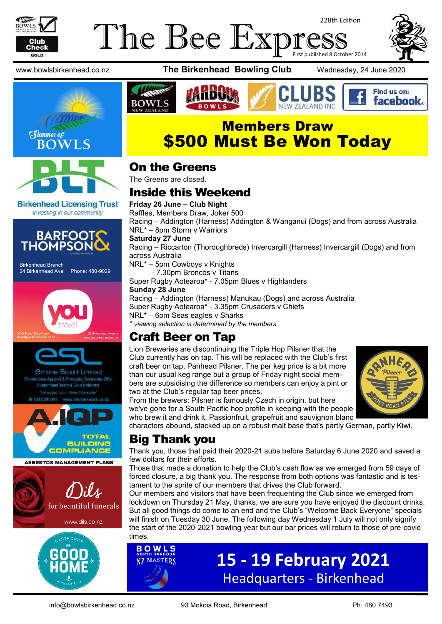

## The Bee Exp 228th Edition First published 8 October 2014







**Birkenhead Licensing Trust** Investing in our community



Birkenhead Branch 24 Birkenhead Ave Phone: 480-9029









**ASBESTOS MANAGEMENT PLANS** 





www.bowlsbirkenhead.co.nz **The Birkenhead Bowling Club** Wednesday, 24 June 2020







# Members Draw \$500 Must Be Won Today

### On the Greens

The Greens are closed.

# Inside this Weekend

**Friday 26 June – Club Night** Raffles, Members Draw, Joker 500 Racing – Addington (Harness) Addington & Wanganui (Dogs) and from across Australia NRL\* – 8pm Storm v Warriors **Saturday 27 June**

Racing – Riccarton (Thoroughbreds) Invercargill (Harness) Invercargill (Dogs) and from across Australia

NRL\* – 5pm Cowboys v Knights

- 7.30pm Broncos v Titans

Super Rugby Aotearoa\* - 7.05pm Blues v Highlanders

#### **Sunday 28 June**

Racing – Addington (Harness) Manukau (Dogs) and across Australia

Super Rugby Aotearoa\* - 3.35pm Crusaders v Chiefs

NRL\* – 6pm Seas eagles v Sharks

*\* viewing selection is determined by the members.*

# Craft Beer on Tap

Lion Breweries are discontinuing the Triple Hop Pilsner that the Club currently has on tap. This will be replaced with the Club's first craft beer on tap, Panhead Pilsner. The per keg price is a bit more than our usual keg range but a group of Friday night social members are subsidising the difference so members can enjoy a pint or two at the Club's regular tap beer prices.



From the brewers: Pilsner is famously Czech in origin, but here we've gone for a South Pacific hop profile in keeping with the people who brew it and drink it. Passionfruit, grapefruit and sauvignon blanc

characters abound, stacked up on a robust malt base that's partly German, partly Kiwi.

# Big Thank you

Thank you, those that paid their 2020-21 subs before Saturday 6 June 2020 and saved a few dollars for their efforts.

Those that made a donation to help the Club's cash flow as we emerged from 59 days of forced closure, a big thank you. The response from both options was fantastic and is testament to the sprite of our members that drives the Club forward.

Our members and visitors that have been frequenting the Club since we emerged from lockdown on Thursday 21 May, thanks, we are sure you have enjoyed the discount drinks. But all good things do come to an end and the Club's "Welcome Back Everyone" specials will finish on Tuesday 30 June. The following day Wednesday 1 July will not only signify the start of the 2020-2021 bowling year but our bar prices will return to those of pre-covid times.

> **15 - 19 February 2021** Headquarters - Birkenhead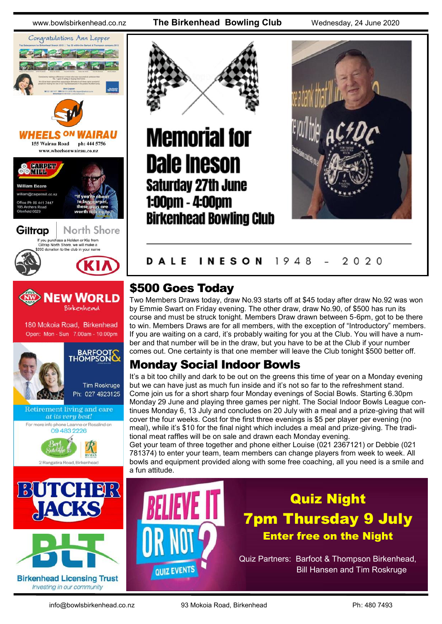# Congratulations Ann Lepper **HEELS ON** 155 Wairau Road ph: 444 5756 www.wheelsonwairau.co.nz













# **Memorial for Dale Ineson Saturday 27th June** 1:00pm - 4:00pm **Birkenhead Bowling Club**



#### **INESON** 1948 2020 DALE

# \$500 Goes Today

Two Members Draws today, draw No.93 starts off at \$45 today after draw No.92 was won by Emmie Swart on Friday evening. The other draw, draw No.90, of \$500 has run its course and must be struck tonight. Members Draw drawn between 5-6pm, got to be there to win. Members Draws are for all members, with the exception of "Introductory" members. If you are waiting on a card, it's probably waiting for you at the Club. You will have a number and that number will be in the draw, but you have to be at the Club if your number comes out. One certainty is that one member will leave the Club tonight \$500 better off.

# Monday Social Indoor Bowls

It's a bit too chilly and dark to be out on the greens this time of year on a Monday evening but we can have just as much fun inside and it's not so far to the refreshment stand. Come join us for a short sharp four Monday evenings of Social Bowls. Starting 6.30pm Monday 29 June and playing three games per night. The Social Indoor Bowls League continues Monday 6, 13 July and concludes on 20 July with a meal and a prize-giving that will cover the four weeks. Cost for the first three evenings is \$5 per player per evening (no meal), while it's \$10 for the final night which includes a meal and prize-giving. The traditional meat raffles will be on sale and drawn each Monday evening.

Get your team of three together and phone either Louise (021 2367121) or Debbie (021 781374) to enter your team, team members can change players from week to week. All bowls and equipment provided along with some free coaching, all you need is a smile and a fun attitude.

# **QUIZ EVENTS**

# Quiz Night 7pm Thursday 9 July Enter free on the Night

Quiz Partners: Barfoot & Thompson Birkenhead, Bill Hansen and Tim Roskruge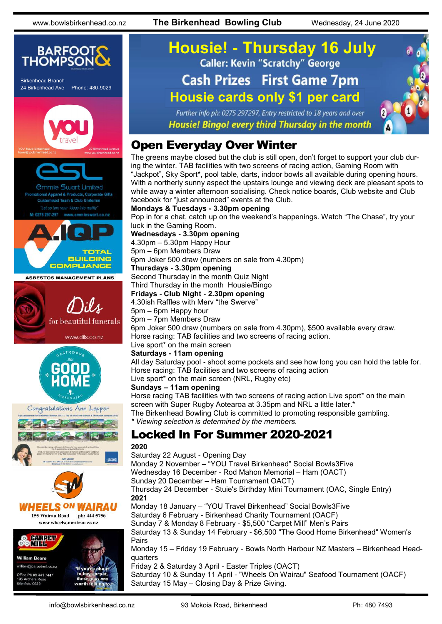

# **Housie! - Thursday 16 July Cash Prizes First Game 7pm Housie cards only \$1 per card**

Further info ph: 0275 297297, Entry restricted to 18 years and over Housie! Bingo! every third Thursday in the month

## Open Everyday Over Winter

The greens maybe closed but the club is still open, don't forget to support your club during the winter. TAB facilities with two screens of racing action, Gaming Room with "Jackpot", Sky Sport\*, pool table, darts, indoor bowls all available during opening hours. With a northerly sunny aspect the upstairs lounge and viewing deck are pleasant spots to while away a winter afternoon socialising. Check notice boards, Club website and Club facebook for "just announced" events at the Club.

#### **Mondays & Tuesdays - 3.30pm opening**

Pop in for a chat, catch up on the weekend's happenings. Watch "The Chase", try your luck in the Gaming Room.

**Wednesdays - 3.30pm opening**

4.30pm – 5.30pm Happy Hour

5pm – 6pm Members Draw

6pm Joker 500 draw (numbers on sale from 4.30pm)

#### **Thursdays - 3.30pm opening**

Second Thursday in the month Quiz Night

#### Third Thursday in the month Housie/Bingo

**Fridays - Club Night - 2.30pm opening**

4.30ish Raffles with Merv "the Swerve"

#### 5pm – 6pm Happy hour

5pm – 7pm Members Draw 6pm Joker 500 draw (numbers on sale from 4.30pm), \$500 available every draw. Horse racing: TAB facilities and two screens of racing action.

Live sport\* on the main screen

#### **Saturdays - 11am opening**

All day Saturday pool - shoot some pockets and see how long you can hold the table for. Horse racing: TAB facilities and two screens of racing action Live sport\* on the main screen (NRL, Rugby etc)

#### **Sundays – 11am opening**

Horse racing TAB facilities with two screens of racing action Live sport\* on the main screen with Super Rugby Aotearoa at 3.35pm and NRL a little later.\* The Birkenhead Bowling Club is committed to promoting responsible gambling.

*\* Viewing selection is determined by the members.*

## Locked In For Summer 2020-2021

#### **2020**

Saturday 22 August - Opening Day Monday 2 November – "YOU Travel Birkenhead" Social Bowls3Five Wednesday 16 December - Rod Mahon Memorial – Ham (OACT) Sunday 20 December – Ham Tournament OACT) Thursday 24 December - Stuie's Birthday Mini Tournament (OAC, Single Entry) **2021** Monday 18 January – "YOU Travel Birkenhead" Social Bowls3Five Saturday 6 February - Birkenhead Charity Tournament (OACF) Sunday 7 & Monday 8 February - \$5,500 "Carpet Mill" Men's Pairs Saturday 13 & Sunday 14 February - \$6,500 "The Good Home Birkenhead" Women's Pairs Monday 15 – Friday 19 February - Bowls North Harbour NZ Masters – Birkenhead Headquarters Friday 2 & Saturday 3 April - Easter Triples (OACT) Saturday 10 & Sunday 11 April - "Wheels On Wairau" Seafood Tournament (OACF) Saturday 15 May – Closing Day & Prize Giving.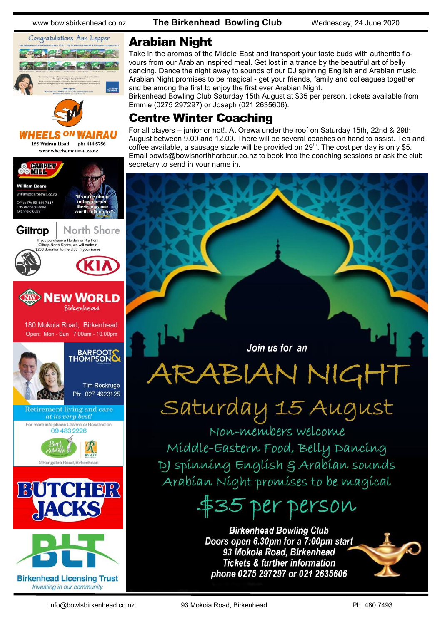

## Arabian Night

Take in the aromas of the Middle-East and transport your taste buds with authentic flavours from our Arabian inspired meal. Get lost in a trance by the beautiful art of belly dancing. Dance the night away to sounds of our DJ spinning English and Arabian music. Arabian Night promises to be magical - get your friends, family and colleagues together and be among the first to enjoy the first ever Arabian Night.

Birkenhead Bowling Club Saturday 15th August at \$35 per person, tickets available from Emmie (0275 297297) or Joseph (021 2635606).

## Centre Winter Coaching

For all players – junior or not!. At Orewa under the roof on Saturday 15th, 22nd & 29th August between 9.00 and 12.00. There will be several coaches on hand to assist. Tea and coffee available, a sausage sizzle will be provided on  $29<sup>th</sup>$ . The cost per day is only \$5. Email bowls@bowlsnorthharbour.co.nz to book into the coaching sessions or ask the club secretary to send in your name in.

Join us for an

# ARABIAN NIGHT

# Saturday 15 August

Non-members welcome Míddle-Eastern Food, Belly Dancíng DI spinning English & Arabian sounds Arabían Níght promíses to be magícal

# \$35 per person

**Birkenhead Bowling Club** Doors open 6.30pm for a 7:00pm start 93 Mokoia Road, Birkenhead **Tickets & further information** phone 0275 297297 or 021 2635606



info@bowlsbirkenhead.co.nz 93 Mokoia Road, Birkenhead Ph: 480 7493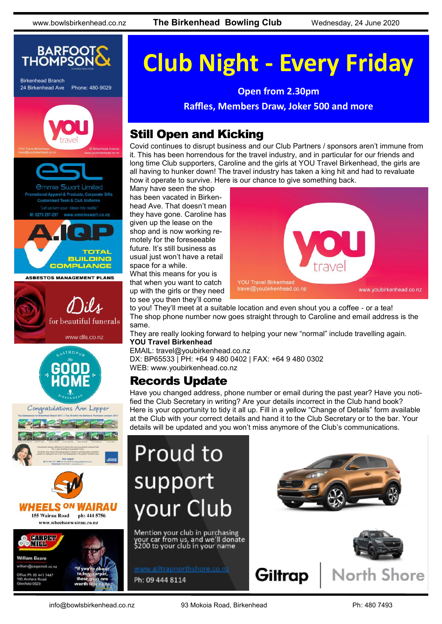

Birkenhead Branch 24 Birkenhead Ave Phone: 480-9029



**ASBESTOS MANAGEMENT PLANS** 











# **Club Night - Every Friday**

**Open from 2.30pm**

**Raffles, Members Draw, Joker 500 and more**

# Still Open and Kicking

Covid continues to disrupt business and our Club Partners / sponsors aren't immune from it. This has been horrendous for the travel industry, and in particular for our friends and long time Club supporters, Caroline and the girls at YOU Travel Birkenhead, the girls are all having to hunker down! The travel industry has taken a king hit and had to revaluate how it operate to survive. Here is our chance to give something back.

Many have seen the shop has been vacated in Birkenhead Ave. That doesn't mean they have gone. Caroline has given up the lease on the shop and is now working remotely for the foreseeable future. It's still business as usual just won't have a retail space for a while. What this means for you is

that when you want to catch up with the girls or they need to see you then they'll come



to you! They'll meet at a suitable location and even shout you a coffee - or a tea! The shop phone number now goes straight through to Caroline and email address is the same.

They are really looking forward to helping your new "normal" include travelling again. **YOU Travel Birkenhead**

EMAIL: travel@youbirkenhead.co.nz DX: BP65533 | PH: [+64 9 480 0402](tel:%2B64%209%20480%200402) | FAX: [+64 9 480 0302](tel:%2B64%209%20480%200302) WEB: [www.youbirkenhead.co.nz](http://www.youbirkenhead.co.nz/)

# Records Update

Have you changed address, phone number or email during the past year? Have you notified the Club Secretary in writing? Are your details incorrect in the Club hand book? Here is your opportunity to tidy it all up. Fill in a yellow "Change of Details" form available at the Club with your correct details and hand it to the Club Secretary or to the bar. Your details will be updated and you won't miss anymore of the Club's communications.